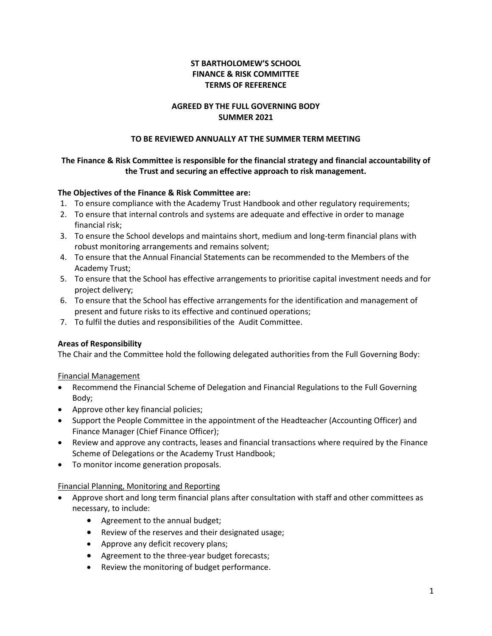# **ST BARTHOLOMEW'S SCHOOL FINANCE & RISK COMMITTEE TERMS OF REFERENCE**

## **AGREED BY THE FULL GOVERNING BODY SUMMER 2021**

### **TO BE REVIEWED ANNUALLY AT THE SUMMER TERM MEETING**

# **The Finance & Risk Committee is responsible for the financial strategy and financial accountability of the Trust and securing an effective approach to risk management.**

## **The Objectives of the Finance & Risk Committee are:**

- 1. To ensure compliance with the Academy Trust Handbook and other regulatory requirements;
- 2. To ensure that internal controls and systems are adequate and effective in order to manage financial risk;
- 3. To ensure the School develops and maintains short, medium and long-term financial plans with robust monitoring arrangements and remains solvent;
- 4. To ensure that the Annual Financial Statements can be recommended to the Members of the Academy Trust;
- 5. To ensure that the School has effective arrangements to prioritise capital investment needs and for project delivery;
- 6. To ensure that the School has effective arrangements for the identification and management of present and future risks to its effective and continued operations;
- 7. To fulfil the duties and responsibilities of the Audit Committee.

### **Areas of Responsibility**

The Chair and the Committee hold the following delegated authorities from the Full Governing Body:

### Financial Management

- Recommend the Financial Scheme of Delegation and Financial Regulations to the Full Governing Body;
- Approve other key financial policies;
- Support the People Committee in the appointment of the Headteacher (Accounting Officer) and Finance Manager (Chief Finance Officer);
- Review and approve any contracts, leases and financial transactions where required by the Finance Scheme of Delegations or the Academy Trust Handbook;
- To monitor income generation proposals.

### Financial Planning, Monitoring and Reporting

- Approve short and long term financial plans after consultation with staff and other committees as necessary, to include:
	- Agreement to the annual budget;
	- Review of the reserves and their designated usage;
	- Approve any deficit recovery plans;
	- Agreement to the three-year budget forecasts;
	- Review the monitoring of budget performance.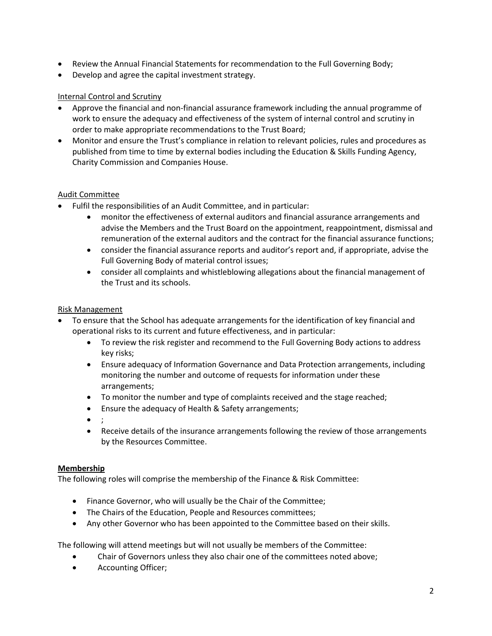- Review the Annual Financial Statements for recommendation to the Full Governing Body;
- Develop and agree the capital investment strategy.

### Internal Control and Scrutiny

- Approve the financial and non-financial assurance framework including the annual programme of work to ensure the adequacy and effectiveness of the system of internal control and scrutiny in order to make appropriate recommendations to the Trust Board;
- Monitor and ensure the Trust's compliance in relation to relevant policies, rules and procedures as published from time to time by external bodies including the Education & Skills Funding Agency, Charity Commission and Companies House.

### Audit Committee

- Fulfil the responsibilities of an Audit Committee, and in particular:
	- monitor the effectiveness of external auditors and financial assurance arrangements and advise the Members and the Trust Board on the appointment, reappointment, dismissal and remuneration of the external auditors and the contract for the financial assurance functions;
	- consider the financial assurance reports and auditor's report and, if appropriate, advise the Full Governing Body of material control issues;
	- consider all complaints and whistleblowing allegations about the financial management of the Trust and its schools.

## Risk Management

- To ensure that the School has adequate arrangements for the identification of key financial and operational risks to its current and future effectiveness, and in particular:
	- To review the risk register and recommend to the Full Governing Body actions to address key risks;
	- Ensure adequacy of Information Governance and Data Protection arrangements, including monitoring the number and outcome of requests for information under these arrangements;
	- To monitor the number and type of complaints received and the stage reached;
	- Ensure the adequacy of Health & Safety arrangements;
	- $\bullet$
	- Receive details of the insurance arrangements following the review of those arrangements by the Resources Committee.

### **Membership**

The following roles will comprise the membership of the Finance & Risk Committee:

- Finance Governor, who will usually be the Chair of the Committee;
- The Chairs of the Education, People and Resources committees;
- Any other Governor who has been appointed to the Committee based on their skills.

The following will attend meetings but will not usually be members of the Committee:

- Chair of Governors unless they also chair one of the committees noted above;
- Accounting Officer;